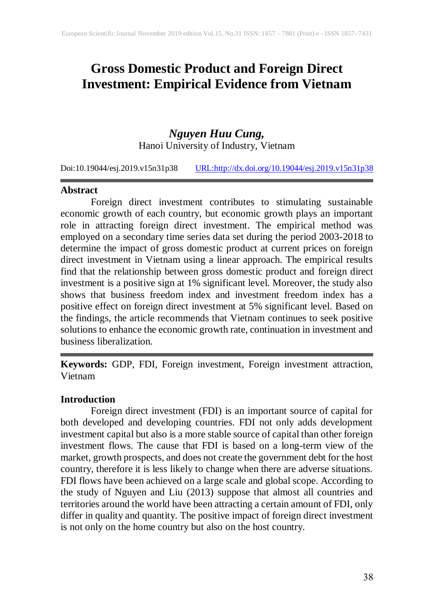## **Gross Domestic Product and Foreign Direct Investment: Empirical Evidence from Vietnam**

# *Nguyen Huu Cung,*

Hanoi University of Industry, Vietnam

Doi:10.19044/esj.2019.v15n31p38 [URL:http://dx.doi.org/10.19044/esj.2019.v15n31p3](http://dx.doi.org/10.19044/esj.2019.v15n31p1)8

#### **Abstract**

Foreign direct investment contributes to stimulating sustainable economic growth of each country, but economic growth plays an important role in attracting foreign direct investment. The empirical method was employed on a secondary time series data set during the period 2003-2018 to determine the impact of gross domestic product at current prices on foreign direct investment in Vietnam using a linear approach. The empirical results find that the relationship between gross domestic product and foreign direct investment is a positive sign at 1% significant level. Moreover, the study also shows that business freedom index and investment freedom index has a positive effect on foreign direct investment at 5% significant level. Based on the findings, the article recommends that Vietnam continues to seek positive solutions to enhance the economic growth rate, continuation in investment and business liberalization.

**Keywords:** GDP, FDI, Foreign investment, Foreign investment attraction, Vietnam

### **Introduction**

Foreign direct investment (FDI) is an important source of capital for both developed and developing countries. FDI not only adds development investment capital but also is a more stable source of capital than other foreign investment flows. The cause that FDI is based on a long-term view of the market, growth prospects, and does not create the government debt for the host country, therefore it is less likely to change when there are adverse situations. FDI flows have been achieved on a large scale and global scope. According to the study of Nguyen and Liu (2013) suppose that almost all countries and territories around the world have been attracting a certain amount of FDI, only differ in quality and quantity. The positive impact of foreign direct investment is not only on the home country but also on the host country.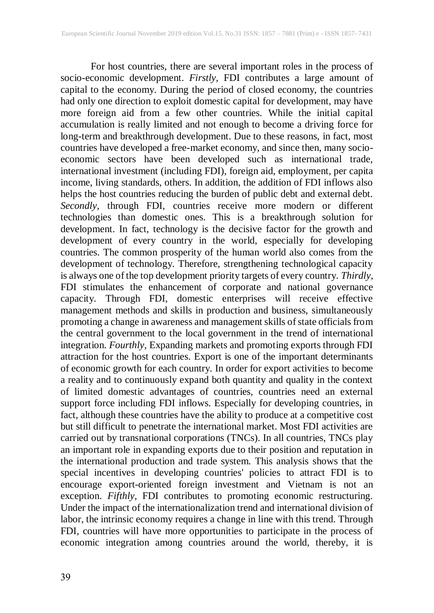For host countries, there are several important roles in the process of socio-economic development. *Firstly,* FDI contributes a large amount of capital to the economy. During the period of closed economy, the countries had only one direction to exploit domestic capital for development, may have more foreign aid from a few other countries. While the initial capital accumulation is really limited and not enough to become a driving force for long-term and breakthrough development. Due to these reasons, in fact, most countries have developed a free-market economy, and since then, many socioeconomic sectors have been developed such as international trade, international investment (including FDI), foreign aid, employment, per capita income, living standards, others. In addition, the addition of FDI inflows also helps the host countries reducing the burden of public debt and external debt. *Secondly,* through FDI, countries receive more modern or different technologies than domestic ones. This is a breakthrough solution for development. In fact, technology is the decisive factor for the growth and development of every country in the world, especially for developing countries. The common prosperity of the human world also comes from the development of technology. Therefore, strengthening technological capacity is always one of the top development priority targets of every country. *Thirdly,* FDI stimulates the enhancement of corporate and national governance capacity. Through FDI, domestic enterprises will receive effective management methods and skills in production and business, simultaneously promoting a change in awareness and management skills of state officials from the central government to the local government in the trend of international integration. *Fourthly,* Expanding markets and promoting exports through FDI attraction for the host countries. Export is one of the important determinants of economic growth for each country. In order for export activities to become a reality and to continuously expand both quantity and quality in the context of limited domestic advantages of countries, countries need an external support force including FDI inflows. Especially for developing countries, in fact, although these countries have the ability to produce at a competitive cost but still difficult to penetrate the international market. Most FDI activities are carried out by transnational corporations (TNCs). In all countries, TNCs play an important role in expanding exports due to their position and reputation in the international production and trade system. This analysis shows that the special incentives in developing countries' policies to attract FDI is to encourage export-oriented foreign investment and Vietnam is not an exception. *Fifthly,* FDI contributes to promoting economic restructuring. Under the impact of the internationalization trend and international division of labor, the intrinsic economy requires a change in line with this trend. Through FDI, countries will have more opportunities to participate in the process of economic integration among countries around the world, thereby, it is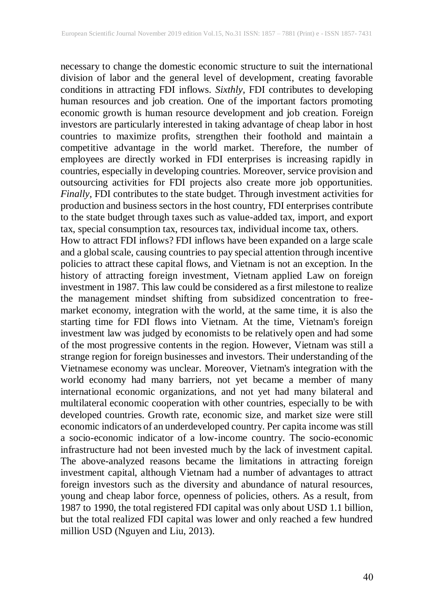necessary to change the domestic economic structure to suit the international division of labor and the general level of development, creating favorable conditions in attracting FDI inflows. *Sixthly,* FDI contributes to developing human resources and job creation. One of the important factors promoting economic growth is human resource development and job creation. Foreign investors are particularly interested in taking advantage of cheap labor in host countries to maximize profits, strengthen their foothold and maintain a competitive advantage in the world market. Therefore, the number of employees are directly worked in FDI enterprises is increasing rapidly in countries, especially in developing countries. Moreover, service provision and outsourcing activities for FDI projects also create more job opportunities. *Finally,* FDI contributes to the state budget. Through investment activities for production and business sectors in the host country, FDI enterprises contribute to the state budget through taxes such as value-added tax, import, and export tax, special consumption tax, resources tax, individual income tax, others.

How to attract FDI inflows? FDI inflows have been expanded on a large scale and a global scale, causing countries to pay special attention through incentive policies to attract these capital flows, and Vietnam is not an exception. In the history of attracting foreign investment, Vietnam applied Law on foreign investment in 1987. This law could be considered as a first milestone to realize the management mindset shifting from subsidized concentration to freemarket economy, integration with the world, at the same time, it is also the starting time for FDI flows into Vietnam. At the time, Vietnam's foreign investment law was judged by economists to be relatively open and had some of the most progressive contents in the region. However, Vietnam was still a strange region for foreign businesses and investors. Their understanding of the Vietnamese economy was unclear. Moreover, Vietnam's integration with the world economy had many barriers, not yet became a member of many international economic organizations, and not yet had many bilateral and multilateral economic cooperation with other countries, especially to be with developed countries. Growth rate, economic size, and market size were still economic indicators of an underdeveloped country. Per capita income was still a socio-economic indicator of a low-income country. The socio-economic infrastructure had not been invested much by the lack of investment capital. The above-analyzed reasons became the limitations in attracting foreign investment capital, although Vietnam had a number of advantages to attract foreign investors such as the diversity and abundance of natural resources, young and cheap labor force, openness of policies, others. As a result, from 1987 to 1990, the total registered FDI capital was only about USD 1.1 billion, but the total realized FDI capital was lower and only reached a few hundred million USD (Nguyen and Liu, 2013).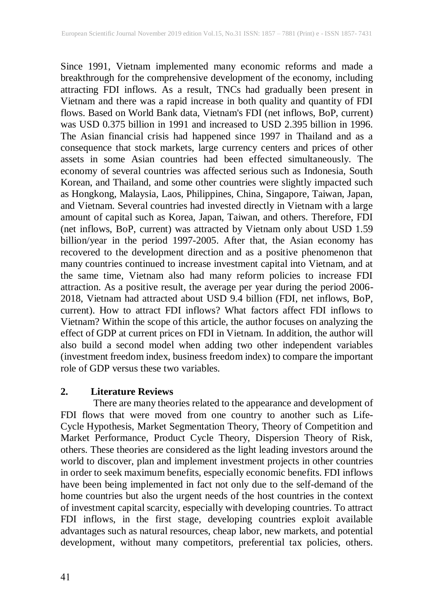Since 1991, Vietnam implemented many economic reforms and made a breakthrough for the comprehensive development of the economy, including attracting FDI inflows. As a result, TNCs had gradually been present in Vietnam and there was a rapid increase in both quality and quantity of FDI flows. Based on World Bank data, Vietnam's FDI (net inflows, BoP, current) was USD 0.375 billion in 1991 and increased to USD 2.395 billion in 1996. The Asian financial crisis had happened since 1997 in Thailand and as a consequence that stock markets, large currency centers and prices of other assets in some Asian countries had been effected simultaneously. The economy of several countries was affected serious such as Indonesia, South Korean, and Thailand, and some other countries were slightly impacted such as Hongkong, Malaysia, Laos, Philippines, China, Singapore, Taiwan, Japan, and Vietnam. Several countries had invested directly in Vietnam with a large amount of capital such as Korea, Japan, Taiwan, and others. Therefore, FDI (net inflows, BoP, current) was attracted by Vietnam only about USD 1.59 billion/year in the period 1997-2005. After that, the Asian economy has recovered to the development direction and as a positive phenomenon that many countries continued to increase investment capital into Vietnam, and at the same time, Vietnam also had many reform policies to increase FDI attraction. As a positive result, the average per year during the period 2006- 2018, Vietnam had attracted about USD 9.4 billion (FDI, net inflows, BoP, current). How to attract FDI inflows? What factors affect FDI inflows to Vietnam? Within the scope of this article, the author focuses on analyzing the effect of GDP at current prices on FDI in Vietnam. In addition, the author will also build a second model when adding two other independent variables (investment freedom index, business freedom index) to compare the important role of GDP versus these two variables.

## **2. Literature Reviews**

There are many theories related to the appearance and development of FDI flows that were moved from one country to another such as Life-Cycle Hypothesis, Market Segmentation Theory, Theory of Competition and Market Performance, Product Cycle Theory, Dispersion Theory of Risk, others. These theories are considered as the light leading investors around the world to discover, plan and implement investment projects in other countries in order to seek maximum benefits, especially economic benefits. FDI inflows have been being implemented in fact not only due to the self-demand of the home countries but also the urgent needs of the host countries in the context of investment capital scarcity, especially with developing countries. To attract FDI inflows, in the first stage, developing countries exploit available advantages such as natural resources, cheap labor, new markets, and potential development, without many competitors, preferential tax policies, others.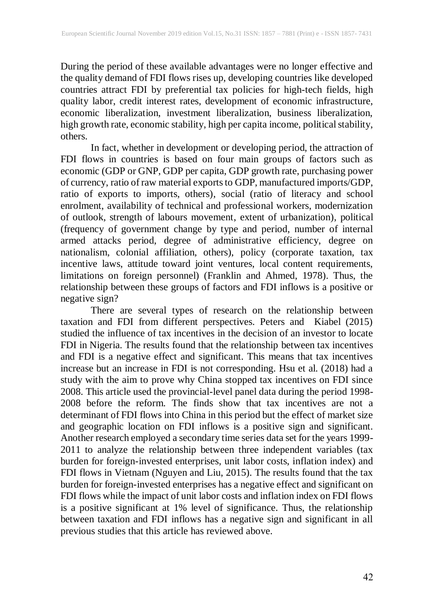During the period of these available advantages were no longer effective and the quality demand of FDI flows rises up, developing countries like developed countries attract FDI by preferential tax policies for high-tech fields, high quality labor, credit interest rates, development of economic infrastructure, economic liberalization, investment liberalization, business liberalization, high growth rate, economic stability, high per capita income, political stability, others.

In fact, whether in development or developing period, the attraction of FDI flows in countries is based on four main groups of factors such as economic (GDP or GNP, GDP per capita, GDP growth rate, purchasing power of currency, ratio of raw material exports to GDP, manufactured imports/GDP, ratio of exports to imports, others), social (ratio of literacy and school enrolment, availability of technical and professional workers, modernization of outlook, strength of labours movement, extent of urbanization), political (frequency of government change by type and period, number of internal armed attacks period, degree of administrative efficiency, degree on nationalism, colonial affiliation, others), policy (corporate taxation, tax incentive laws, attitude toward joint ventures, local content requirements, limitations on foreign personnel) (Franklin and Ahmed, 1978). Thus, the relationship between these groups of factors and FDI inflows is a positive or negative sign?

There are several types of research on the relationship between taxation and FDI from different perspectives. Peters and Kiabel (2015) studied the influence of tax incentives in the decision of an investor to locate FDI in Nigeria. The results found that the relationship between tax incentives and FDI is a negative effect and significant. This means that tax incentives increase but an increase in FDI is not corresponding. Hsu et al. (2018) had a study with the aim to prove why China stopped tax incentives on FDI since 2008. This article used the provincial-level panel data during the period 1998- 2008 before the reform. The finds show that tax incentives are not a determinant of FDI flows into China in this period but the effect of market size and geographic location on FDI inflows is a positive sign and significant. Another research employed a secondary time series data set for the years 1999- 2011 to analyze the relationship between three independent variables (tax burden for foreign-invested enterprises, unit labor costs, inflation index) and FDI flows in Vietnam (Nguyen and Liu, 2015). The results found that the tax burden for foreign-invested enterprises has a negative effect and significant on FDI flows while the impact of unit labor costs and inflation index on FDI flows is a positive significant at 1% level of significance. Thus, the relationship between taxation and FDI inflows has a negative sign and significant in all previous studies that this article has reviewed above.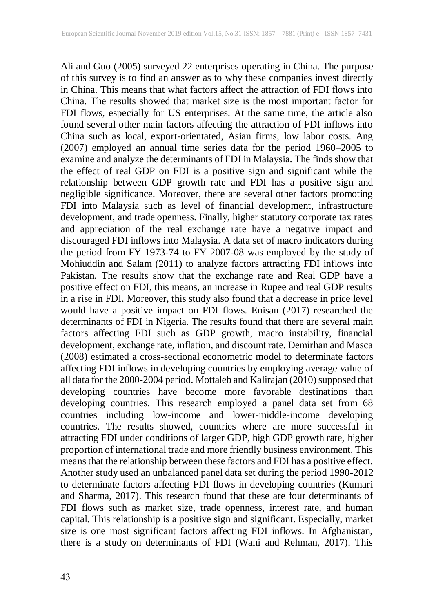Ali and Guo (2005) surveyed 22 enterprises operating in China. The purpose of this survey is to find an answer as to why these companies invest directly in China. This means that what factors affect the attraction of FDI flows into China. The results showed that market size is the most important factor for FDI flows, especially for US enterprises. At the same time, the article also found several other main factors affecting the attraction of FDI inflows into China such as local, export-orientated, Asian firms, low labor costs. Ang (2007) employed an annual time series data for the period 1960–2005 to examine and analyze the determinants of FDI in Malaysia. The finds show that the effect of real GDP on FDI is a positive sign and significant while the relationship between GDP growth rate and FDI has a positive sign and negligible significance. Moreover, there are several other factors promoting FDI into Malaysia such as level of financial development, infrastructure development, and trade openness. Finally, higher statutory corporate tax rates and appreciation of the real exchange rate have a negative impact and discouraged FDI inflows into Malaysia. A data set of macro indicators during the period from FY 1973-74 to FY 2007-08 was employed by the study of Mohiuddin and Salam (2011) to analyze factors attracting FDI inflows into Pakistan. The results show that the exchange rate and Real GDP have a positive effect on FDI, this means, an increase in Rupee and real GDP results in a rise in FDI. Moreover, this study also found that a decrease in price level would have a positive impact on FDI flows. Enisan (2017) researched the determinants of FDI in Nigeria. The results found that there are several main factors affecting FDI such as GDP growth, macro instability, financial development, exchange rate, inflation, and discount rate. Demirhan and Masca (2008) estimated a cross-sectional econometric model to determinate factors affecting FDI inflows in developing countries by employing average value of all data for the 2000-2004 period. Mottaleb and Kalirajan (2010) supposed that developing countries have become more favorable destinations than developing countries. This research employed a panel data set from 68 countries including low-income and lower-middle-income developing countries. The results showed, countries where are more successful in attracting FDI under conditions of larger GDP, high GDP growth rate, higher proportion of international trade and more friendly business environment. This meansthat the relationship between these factors and FDI has a positive effect. Another study used an unbalanced panel data set during the period 1990-2012 to determinate factors affecting FDI flows in developing countries (Kumari and Sharma, 2017). This research found that these are four determinants of FDI flows such as market size, trade openness, interest rate, and human capital. This relationship is a positive sign and significant. Especially, market size is one most significant factors affecting FDI inflows. In Afghanistan, there is a study on determinants of FDI (Wani and Rehman, 2017). This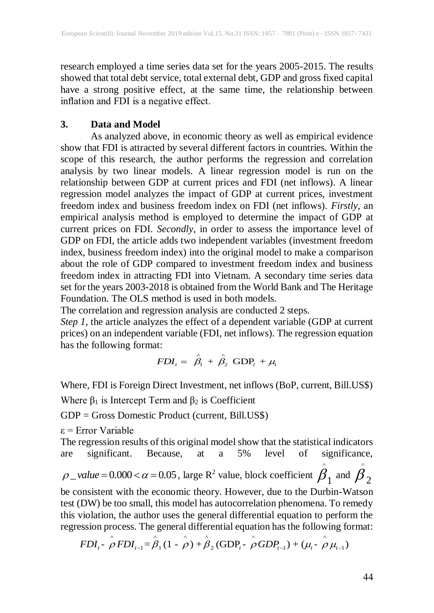research employed a time series data set for the years 2005-2015. The results showed that total debt service, total external debt, GDP and gross fixed capital have a strong positive effect, at the same time, the relationship between inflation and FDI is a negative effect.

## **3. Data and Model**

As analyzed above, in economic theory as well as empirical evidence show that FDI is attracted by several different factors in countries. Within the scope of this research, the author performs the regression and correlation analysis by two linear models. A linear regression model is run on the relationship between GDP at current prices and FDI (net inflows). A linear regression model analyzes the impact of GDP at current prices, investment freedom index and business freedom index on FDI (net inflows). *Firstly*, an empirical analysis method is employed to determine the impact of GDP at current prices on FDI. *Secondly*, in order to assess the importance level of GDP on FDI, the article adds two independent variables (investment freedom index, business freedom index) into the original model to make a comparison about the role of GDP compared to investment freedom index and business freedom index in attracting FDI into Vietnam. A secondary time series data set for the years 2003-2018 is obtained from the World Bank and The Heritage Foundation. The OLS method is used in both models.

The correlation and regression analysis are conducted 2 steps.

*Step 1,* the article analyzes the effect of a dependent variable (GDP at current prices) on an independent variable (FDI, net inflows). The regression equation has the following format:

$$
FDI_t = \hat{\beta}_1 + \hat{\beta}_2 \text{ GDP}_t + \mu_t
$$

Where, FDI is Foreign Direct Investment, net inflows (BoP, current, Bill.US\$)

Where  $\beta_1$  is Intercept Term and  $\beta_2$  is Coefficient

GDP = Gross Domestic Product (current, Bill.US\$)

 $\varepsilon$  = Error Variable

The regression results of this original model show that the statistical indicators are significant. Because, at a 5% level of significance,  $\rho$ <sub>\_</sub>value = 0.000 <  $\alpha$  = 0.05, large R<sup>2</sup> value, block coefficient  $\hat{\beta}_1$  and  $\hat{\beta}_2$  $\wedge$  $\wedge$ be consistent with the economic theory. However, due to the Durbin-Watson test (DW) be too small, this model has autocorrelation phenomena. To remedy this violation, the author uses the general differential equation to perform the regression process. The general differential equation has the following format: violation, the author uses the general differential equation to perform the ession process. The general differential equation has the following format:<br> $FDI_t - \hat{\rho} FDI_{t-1} = \hat{\beta}_1 (1 - \hat{\rho}) + \hat{\beta}_2 (GDP_t - \hat{\rho} GDP_{t-1}) + (\mu_t - \hat{\rho} \mu_{$ 

$$
FDI_t - \rho FDI_{t-1} = \hat{\beta}_1 (1 - \rho) + \hat{\beta}_2 (GDP_t - \rho GDP_{t-1}) + (\mu_t - \rho \mu_{t-1})
$$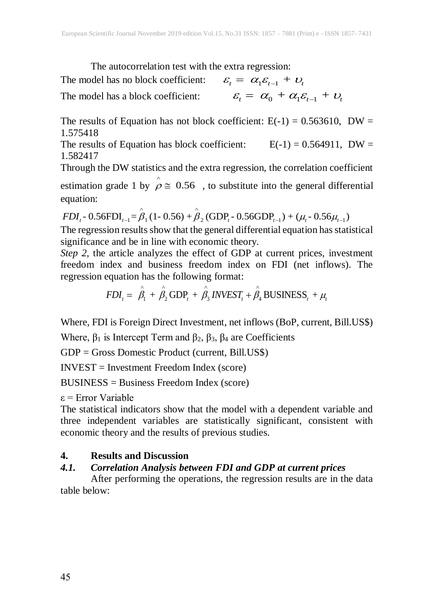The autocorrelation test with the extra regression:

The model has no block coefficient:  $\mathcal{E}_t = \alpha_1 \mathcal{E}_{t-1} + \mathcal{U}_t$ The model has a block coefficient:  $\varepsilon_t = \alpha_0 + \alpha_1 \varepsilon_{t-1} + \varepsilon_t$ 

The results of Equation has not block coefficient:  $E(-1) = 0.563610$ , DW = 1.575418

The results of Equation has block coefficient:  $E(-1) = 0.564911$ , DW = 1.582417

Through the DW statistics and the extra regression, the correlation coefficient estimation grade 1 by  $\rho \approx 0.56$ , to substitute into the general differential<br>equation:<br> $FDI_t - 0.56FDI_{t-1} = \rho_1 (1 - 0.56) + \rho_2 (GDP_t - 0.56GDP_{t-1}) + (\mu_t - 0.56\mu_{t-1})$ equation:  $\hat{e}$  (1.050),  $\hat{e}$  (CF)

*FDI<sub>t</sub>* - 0.56FDI<sub>t-1</sub> = 
$$
\hat{\beta}_1
$$
 (1- 0.56) +  $\hat{\beta}_2$  (GDP<sub>t</sub> - 0.56GDP<sub>t-1</sub>) + ( $\mu_t$  - 0.56 $\mu_{t-1}$ )

The regression results show that the general differential equation has statistical significance and be in line with economic theory.

*Step 2,* the article analyzes the effect of GDP at current prices, investment freedom index and business freedom index on FDI (net inflows). The

regression equation has the following format:  
\n
$$
FDI_t = \hat{\beta}_1 + \hat{\beta}_2 GDP_t + \hat{\beta}_3 INVEST_t + \hat{\beta}_4 BUSINESS_t + \mu_t
$$

Where, FDI is Foreign Direct Investment, net inflows (BoP, current, Bill.US\$)

Where,  $β_1$  is Intercept Term and  $β_2$ ,  $β_3$ ,  $β_4$  are Coefficients

GDP = Gross Domestic Product (current, Bill.US\$)

INVEST = Investment Freedom Index (score)

BUSINESS = Business Freedom Index (score)

 $\varepsilon$  = Error Variable

The statistical indicators show that the model with a dependent variable and three independent variables are statistically significant, consistent with economic theory and the results of previous studies.

## **4. Results and Discussion**

## *4.1. Correlation Analysis between FDI and GDP at current prices*

After performing the operations, the regression results are in the data table below: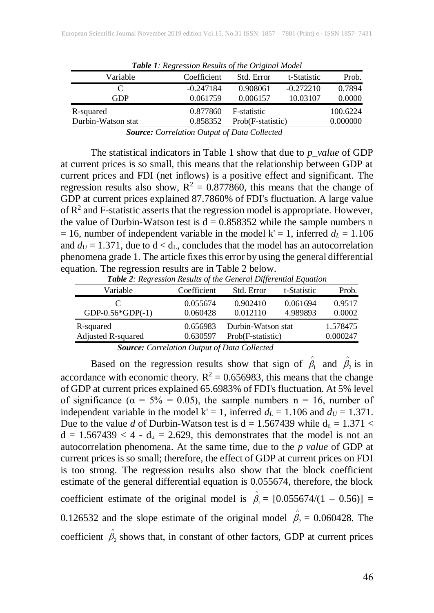| <b>Twore I.</b> Regression Results of the Original model |             |                   |             |          |  |  |  |
|----------------------------------------------------------|-------------|-------------------|-------------|----------|--|--|--|
| Variable                                                 | Coefficient | Std. Error        | t-Statistic | Prob.    |  |  |  |
|                                                          | $-0.247184$ | 0.908061          | $-0.272210$ | 0.7894   |  |  |  |
| GDP                                                      | 0.061759    | 0.006157          | 10.03107    | 0.0000   |  |  |  |
| R-squared                                                | 0.877860    | F-statistic       |             | 100.6224 |  |  |  |
| Durbin-Watson stat                                       | 0.858352    | Prob(F-statistic) |             | 0.000000 |  |  |  |
|                                                          |             |                   |             |          |  |  |  |

*Table 1: Regression Results of the Original Model*

*Source: Correlation Output of Data Collected*

The statistical indicators in Table 1 show that due to *p\_value* of GDP at current prices is so small, this means that the relationship between GDP at current prices and FDI (net inflows) is a positive effect and significant. The regression results also show,  $R^2 = 0.877860$ , this means that the change of GDP at current prices explained 87.7860% of FDI's fluctuation. A large value of  $\mathbb{R}^2$  and F-statistic asserts that the regression model is appropriate. However, the value of Durbin-Watson test is  $d = 0.858352$  while the sample numbers n  $= 16$ , number of independent variable in the model k' = 1, inferred  $d_L = 1.106$ and  $d_U = 1.371$ , due to  $d < d_L$ , concludes that the model has an autocorrelation phenomena grade 1. The article fixesthis error by using the general differential equation. The regression results are in Table 2 below.

| Table 2: Regression Results of the General Differential Equation |             |                    |             |          |  |  |  |
|------------------------------------------------------------------|-------------|--------------------|-------------|----------|--|--|--|
| Variable                                                         | Coefficient | Std. Error         | t-Statistic | Prob.    |  |  |  |
|                                                                  | 0.055674    | 0.902410           | 0.061694    | 0.9517   |  |  |  |
| GDP-0.56*GDP $(-1)$                                              | 0.060428    | 0.012110           | 4.989893    | 0.0002   |  |  |  |
| R-squared                                                        | 0.656983    | Durbin-Watson stat |             | 1.578475 |  |  |  |
| Adjusted R-squared                                               | 0.630597    | Prob(F-statistic)  |             | 0.000247 |  |  |  |

*Source: Correlation Output of Data Collected*

Based on the regression results show that sign of  $\hat{\beta}_1$  and  $\hat{\beta}_2$  is in accordance with economic theory.  $R^2 = 0.656983$ , this means that the change of GDP at current prices explained 65.6983% of FDI's fluctuation. At 5% level of significance ( $\alpha = 5\% = 0.05$ ), the sample numbers n = 16, number of independent variable in the model  $k' = 1$ , inferred  $d<sub>L</sub> = 1.106$  and  $d<sub>U</sub> = 1.371$ . Due to the value *d* of Durbin-Watson test is  $d = 1.567439$  while  $d_u = 1.371$  <  $d = 1.567439 < 4 - d_u = 2.629$ , this demonstrates that the model is not an autocorrelation phenomena. At the same time, due to the *p value* of GDP at current prices is so small; therefore, the effect of GDP at current prices on FDI is too strong. The regression results also show that the block coefficient estimate of the general differential equation is 0.055674, therefore, the block coefficient estimate of the original model is  $\hat{\beta}_1 = [0.055674/(1 - 0.56)] =$ 0.126532 and the slope estimate of the original model  $\hat{\beta}_2 = 0.060428$ . The coefficient  $\hat{\beta}_2$  shows that, in constant of other factors, GDP at current prices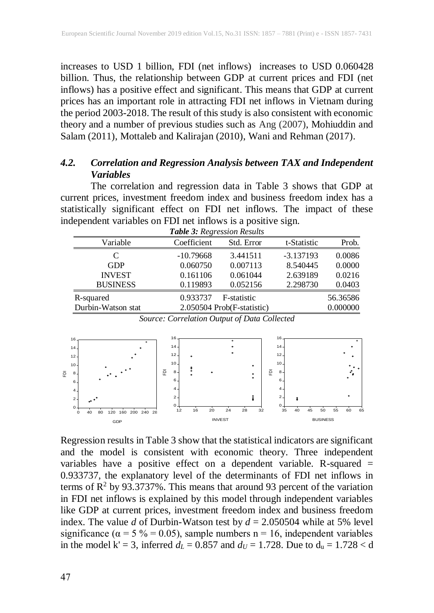increases to USD 1 billion, FDI (net inflows) increases to USD 0.060428 billion. Thus, the relationship between GDP at current prices and FDI (net inflows) has a positive effect and significant. This means that GDP at current prices has an important role in attracting FDI net inflows in Vietnam during the period 2003-2018. The result of this study is also consistent with economic theory and a number of previous studies such as Ang (2007), Mohiuddin and Salam (2011), Mottaleb and Kalirajan (2010), Wani and Rehman (2017).

## *4.2. Correlation and Regression Analysis between TAX and Independent Variables*

The correlation and regression data in Table 3 shows that GDP at current prices, investment freedom index and business freedom index has a statistically significant effect on FDI net inflows. The impact of these independent variables on FDI net inflows is a positive sign.

| <b>Table 3: Regression Results</b> |             |                            |             |          |  |  |  |
|------------------------------------|-------------|----------------------------|-------------|----------|--|--|--|
| Variable                           | Coefficient | Std. Error                 | t-Statistic | Prob.    |  |  |  |
| C                                  | $-10.79668$ | 3.441511                   | $-3.137193$ | 0.0086   |  |  |  |
| GDP                                | 0.060750    | 0.007113                   | 8.540445    | 0.0000   |  |  |  |
| <b>INVEST</b>                      | 0.161106    | 0.061044                   | 2.639189    | 0.0216   |  |  |  |
| <b>BUSINESS</b>                    | 0.119893    | 0.052156                   | 2.298730    | 0.0403   |  |  |  |
| R-squared                          | 0.933737    | F-statistic                |             | 56.36586 |  |  |  |
| Durbin-Watson stat                 |             | 2.050504 Prob(F-statistic) |             | 0.000000 |  |  |  |

*Source: Correlation Output of Data Collected*



Regression results in Table 3 show that the statistical indicators are significant and the model is consistent with economic theory. Three independent variables have a positive effect on a dependent variable. R-squared  $=$ 0.933737, the explanatory level of the determinants of FDI net inflows in terms of  $\mathbb{R}^2$  by 93.3737%. This means that around 93 percent of the variation in FDI net inflows is explained by this model through independent variables like GDP at current prices, investment freedom index and business freedom index. The value *d* of Durbin-Watson test by  $d = 2.050504$  while at 5% level significance ( $\alpha = 5\% = 0.05$ ), sample numbers n = 16, independent variables in the model k' = 3, inferred  $d_L$  = 0.857 and  $d_U$  = 1.728. Due to  $d_u$  = 1.728 < d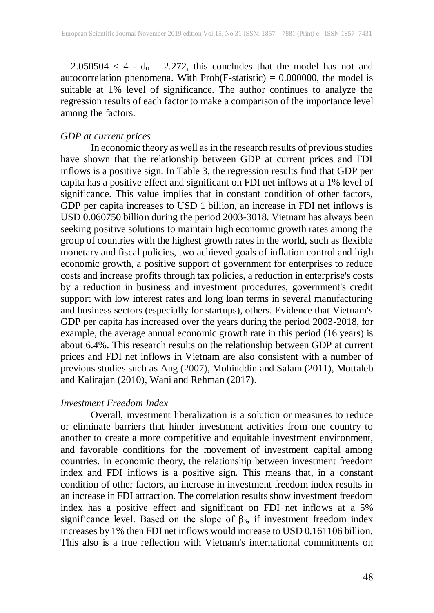$= 2.050504 < 4 - d_u = 2.272$ , this concludes that the model has not and autocorrelation phenomena. With Prob(F-statistic) = 0.000000, the model is suitable at 1% level of significance. The author continues to analyze the regression results of each factor to make a comparison of the importance level among the factors.

## *GDP at current prices*

In economic theory as well as in the research results of previous studies have shown that the relationship between GDP at current prices and FDI inflows is a positive sign. In Table 3, the regression results find that GDP per capita has a positive effect and significant on FDI net inflows at a 1% level of significance. This value implies that in constant condition of other factors, GDP per capita increases to USD 1 billion, an increase in FDI net inflows is USD 0.060750 billion during the period 2003-3018. Vietnam has always been seeking positive solutions to maintain high economic growth rates among the group of countries with the highest growth rates in the world, such as flexible monetary and fiscal policies, two achieved goals of inflation control and high economic growth, a positive support of government for enterprises to reduce costs and increase profits through tax policies, a reduction in enterprise's costs by a reduction in business and investment procedures, government's credit support with low interest rates and long loan terms in several manufacturing and business sectors (especially for startups), others. Evidence that Vietnam's GDP per capita has increased over the years during the period 2003-2018, for example, the average annual economic growth rate in this period (16 years) is about 6.4%. This research results on the relationship between GDP at current prices and FDI net inflows in Vietnam are also consistent with a number of previous studies such as Ang (2007), Mohiuddin and Salam (2011), Mottaleb and Kalirajan (2010), Wani and Rehman (2017).

#### *Investment Freedom Index*

Overall, investment liberalization is a solution or measures to reduce or eliminate barriers that hinder investment activities from one country to another to create a more competitive and equitable investment environment, and favorable conditions for the movement of investment capital among countries. In economic theory, the relationship between investment freedom index and FDI inflows is a positive sign. This means that, in a constant condition of other factors, an increase in investment freedom index results in an increase in FDI attraction. The correlation results show investment freedom index has a positive effect and significant on FDI net inflows at a 5% significance level. Based on the slope of  $\beta_3$ , if investment freedom index increases by 1% then FDI net inflows would increase to USD 0.161106 billion. This also is a true reflection with Vietnam's international commitments on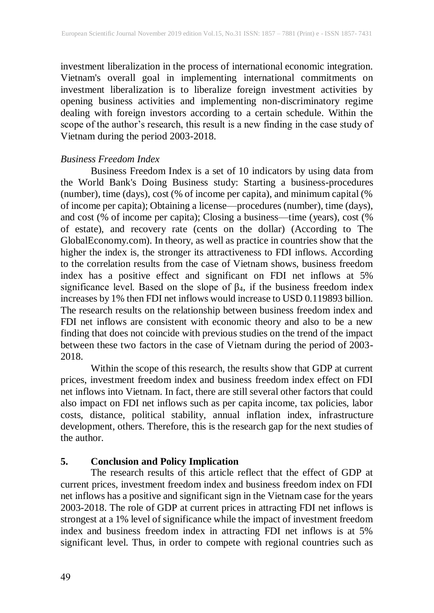investment liberalization in the process of international economic integration. Vietnam's overall goal in implementing international commitments on investment liberalization is to liberalize foreign investment activities by opening business activities and implementing non-discriminatory regime dealing with foreign investors according to a certain schedule. Within the scope of the author's research, this result is a new finding in the case study of Vietnam during the period 2003-2018.

### *Business Freedom Index*

Business Freedom Index is a set of 10 indicators by using data from the World Bank's Doing Business study: Starting a business-procedures (number), time (days), cost (% of income per capita), and minimum capital (% of income per capita); Obtaining a license—procedures (number), time (days), and cost (% of income per capita); Closing a business—time (years), cost (% of estate), and recovery rate (cents on the dollar) (According to The GlobalEconomy.com). In theory, as well as practice in countries show that the higher the index is, the stronger its attractiveness to FDI inflows. According to the correlation results from the case of Vietnam shows, business freedom index has a positive effect and significant on FDI net inflows at 5% significance level. Based on the slope of  $\beta_4$ , if the business freedom index increases by 1% then FDI net inflows would increase to USD 0.119893 billion. The research results on the relationship between business freedom index and FDI net inflows are consistent with economic theory and also to be a new finding that does not coincide with previous studies on the trend of the impact between these two factors in the case of Vietnam during the period of 2003- 2018.

Within the scope of this research, the results show that GDP at current prices, investment freedom index and business freedom index effect on FDI net inflows into Vietnam. In fact, there are still several other factors that could also impact on FDI net inflows such as per capita income, tax policies, labor costs, distance, political stability, annual inflation index, infrastructure development, others. Therefore, this is the research gap for the next studies of the author.

## **5. Conclusion and Policy Implication**

The research results of this article reflect that the effect of GDP at current prices, investment freedom index and business freedom index on FDI net inflows has a positive and significant sign in the Vietnam case for the years 2003-2018. The role of GDP at current prices in attracting FDI net inflows is strongest at a 1% level of significance while the impact of investment freedom index and business freedom index in attracting FDI net inflows is at 5% significant level. Thus, in order to compete with regional countries such as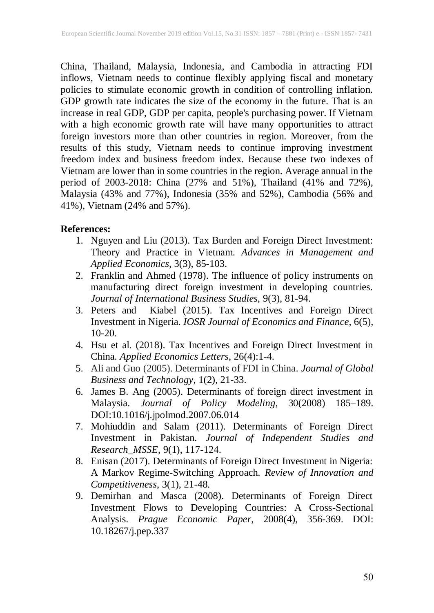China, Thailand, Malaysia, Indonesia, and Cambodia in attracting FDI inflows, Vietnam needs to continue flexibly applying fiscal and monetary policies to stimulate economic growth in condition of controlling inflation. GDP growth rate indicates the size of the economy in the future. That is an increase in real GDP, GDP per capita, people's purchasing power. If Vietnam with a high economic growth rate will have many opportunities to attract foreign investors more than other countries in region. Moreover, from the results of this study, Vietnam needs to continue improving investment freedom index and business freedom index. Because these two indexes of Vietnam are lower than in some countries in the region. Average annual in the period of 2003-2018: China (27% and 51%), Thailand (41% and 72%), Malaysia (43% and 77%), Indonesia (35% and 52%), Cambodia (56% and 41%), Vietnam (24% and 57%).

## **References:**

- 1. Nguyen and Liu (2013). Tax Burden and Foreign Direct Investment: Theory and Practice in Vietnam. *Advances in Management and Applied Economics,* 3(3), 85-103.
- 2. Franklin and Ahmed (1978). The influence of policy instruments on manufacturing direct foreign investment in developing countries. *Journal of International Business Studies,* 9(3), 81-94.
- 3. Peters and Kiabel (2015). Tax Incentives and Foreign Direct Investment in Nigeria. *IOSR Journal of Economics and Finance*, 6(5), 10-20.
- 4. Hsu et al. (2018). Tax Incentives and Foreign Direct Investment in China. *Applied Economics Letters*, 26(4):1-4.
- 5. Ali and Guo (2005). Determinants of FDI in China. *Journal of Global Business and Technology*, 1(2), 21-33.
- 6. James B. Ang (2005). Determinants of foreign direct investment in Malaysia. *Journal of Policy Modeling*, 30(2008) 185–189. DOI:10.1016/j.jpolmod.2007.06.014
- 7. Mohiuddin and Salam (2011). Determinants of Foreign Direct Investment in Pakistan. *Journal of Independent Studies and Research\_MSSE*, 9(1), 117-124.
- 8. Enisan (2017). Determinants of Foreign Direct Investment in Nigeria: A Markov Regime-Switching Approach. *Review of Innovation and Competitiveness*, 3(1), 21-48.
- 9. Demirhan and Masca (2008). Determinants of Foreign Direct Investment Flows to Developing Countries: A Cross-Sectional Analysis. *Prague Economic Paper*, 2008(4), 356-369. DOI: 10.18267/j.pep.337